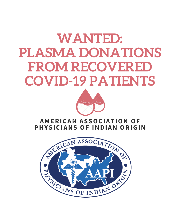## **WANTED: PLASMA DONATIONS FROM RECOVERED COVID-19 PATIENTS**



## **A M E R I C A N A S S O C I A T I O N O F PHYSICIANS OF INDIAN ORIGIN**

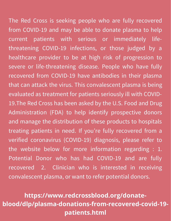The Red Cross is seeking people who are fully recovered from COVID-19 and may be able to donate plasma to help current patients with serious or immediately lifethreatening COVID-19 infections, or those judged by a healthcare provider to be at high risk of progression to severe or life-threatening disease. People who have fully recovered from COVID-19 have antibodies in their plasma that can attack the virus. This convalescent plasma is being evaluated as treatment for patients seriously ill with COVID-19.The Red Cross has been asked by the U.S. Food and Drug Administration (FDA) to help identify prospective donors and manage the distribution of these products to hospitals treating patients in need. If you're fully recovered from a verified coronavirus (COVID-19) diagnosis, please refer to the website below for more information regarding : 1. Potential Donor who has had COVID-19 and are fully recovered 2. Clinician who is interested in receiving convalescent plasma, or want to refer potential donors.

**https://www.redcrossblood.org/donateblood/dlp/plasma-donations-from-recovered-covid-19 patients.html**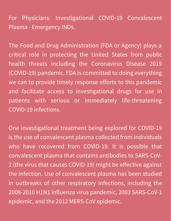For Physicians: Investigational COVID-19 Convalescent Plasma - Emergency INDs.

The Food and Drug Administration (FDA or Agency) plays a critical role in protecting the United States from public health threats including the Coronavirus Disease 2019 (COVID-19) pandemic. FDA is committed to doing everything we can to provide timely response efforts to this pandemic and facilitate access to investigational drugs for use in patients with serious or immediately life-threatening COVID-19 infections.

One investigational treatment being explored for COVID-19 is the use of convalescent plasma collected from individuals who have recovered from COVID-19. It is possible that convalescent plasma that contains antibodies to SARS-CoV-2 (the virus that causes COVID-19) might be effective against the infection. Use of convalescent plasma has been studied in outbreaks of other respiratory infections, including the 2009-2010 H1N1 influenza virus pandemic, 2003 SARS-CoV-1 epidemic, and the 2012 MERS-CoV epidemic.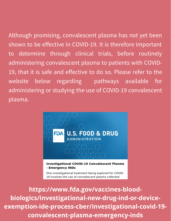Although promising, convalescent plasma has not yet been shown to be effective in COVID-19. It is therefore important to determine through clinical trials, before routinely administering convalescent plasma to patients with COVID-19, that it is safe and effective to do so. Please refer to the website below regarding pathways available for administering or studying the use of COVID-19 convalescent plasma.



**https://www.fda.gov/vaccines-bloodbiologics/investigational-new-drug-ind-or-deviceexemption-ide-process-cber/investigational-covid-19 convalescent-plasma-emergency-inds**